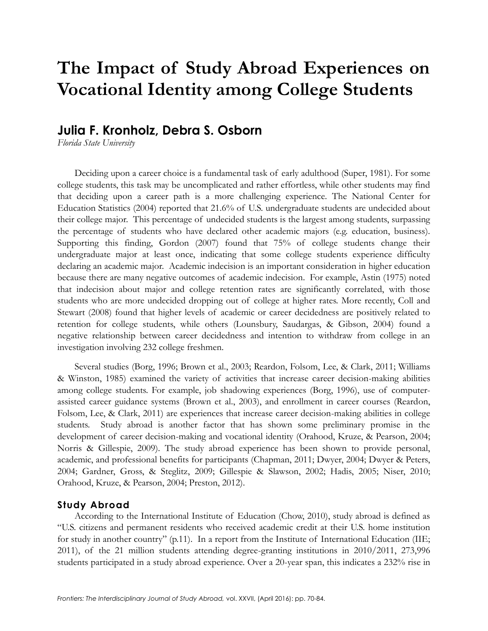# **The Impact of Study Abroad Experiences on Vocational Identity among College Students**

# **Julia F. Kronholz, Debra S. Osborn**

*Florida State University*

Deciding upon a career choice is a fundamental task of early adulthood (Super, 1981). For some college students, this task may be uncomplicated and rather effortless, while other students may find that deciding upon a career path is a more challenging experience. The National Center for Education Statistics (2004) reported that 21.6% of U.S. undergraduate students are undecided about their college major. This percentage of undecided students is the largest among students, surpassing the percentage of students who have declared other academic majors (e.g. education, business). Supporting this finding, Gordon (2007) found that 75% of college students change their undergraduate major at least once, indicating that some college students experience difficulty declaring an academic major. Academic indecision is an important consideration in higher education because there are many negative outcomes of academic indecision. For example, Astin (1975) noted that indecision about major and college retention rates are significantly correlated, with those students who are more undecided dropping out of college at higher rates. More recently, Coll and Stewart (2008) found that higher levels of academic or career decidedness are positively related to retention for college students, while others (Lounsbury, Saudargas, & Gibson, 2004) found a negative relationship between career decidedness and intention to withdraw from college in an investigation involving 232 college freshmen.

Several studies (Borg, 1996; Brown et al., 2003; Reardon, Folsom, Lee, & Clark, 2011; Williams & Winston, 1985) examined the variety of activities that increase career decision-making abilities among college students. For example, job shadowing experiences (Borg, 1996), use of computerassisted career guidance systems (Brown et al., 2003), and enrollment in career courses (Reardon, Folsom, Lee, & Clark, 2011) are experiences that increase career decision-making abilities in college students. Study abroad is another factor that has shown some preliminary promise in the development of career decision-making and vocational identity (Orahood, Kruze, & Pearson, 2004; Norris & Gillespie, 2009). The study abroad experience has been shown to provide personal, academic, and professional benefits for participants (Chapman, 2011; Dwyer, 2004; Dwyer & Peters, 2004; Gardner, Gross, & Steglitz, 2009; Gillespie & Slawson, 2002; Hadis, 2005; Niser, 2010; Orahood, Kruze, & Pearson, 2004; Preston, 2012).

# **Study Abroad**

According to the International Institute of Education (Chow, 2010), study abroad is defined as "U.S. citizens and permanent residents who received academic credit at their U.S. home institution for study in another country" (p.11). In a report from the Institute of International Education (IIE; 2011), of the 21 million students attending degree-granting institutions in 2010/2011, 273,996 students participated in a study abroad experience. Over a 20-year span, this indicates a 232% rise in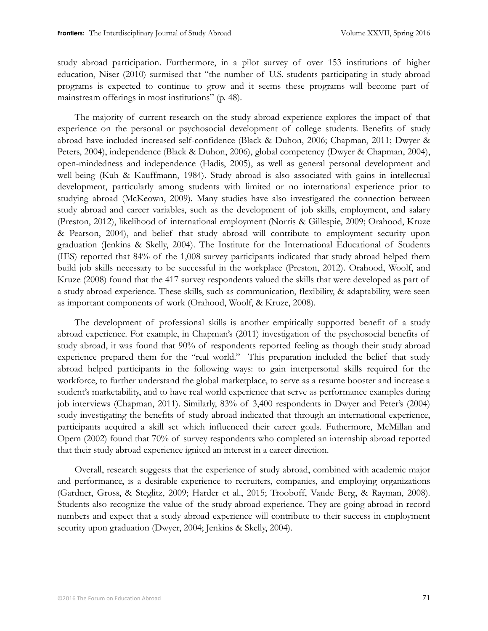study abroad participation. Furthermore, in a pilot survey of over 153 institutions of higher education, Niser (2010) surmised that "the number of U.S. students participating in study abroad programs is expected to continue to grow and it seems these programs will become part of mainstream offerings in most institutions" (p. 48).

The majority of current research on the study abroad experience explores the impact of that experience on the personal or psychosocial development of college students. Benefits of study abroad have included increased self-confidence (Black & Duhon, 2006; Chapman, 2011; Dwyer & Peters, 2004), independence (Black & Duhon, 2006), global competency (Dwyer & Chapman, 2004), open-mindedness and independence (Hadis, 2005), as well as general personal development and well-being (Kuh & Kauffmann, 1984). Study abroad is also associated with gains in intellectual development, particularly among students with limited or no international experience prior to studying abroad (McKeown, 2009). Many studies have also investigated the connection between study abroad and career variables, such as the development of job skills, employment, and salary (Preston, 2012), likelihood of international employment (Norris & Gillespie, 2009; Orahood, Kruze & Pearson, 2004), and belief that study abroad will contribute to employment security upon graduation (Jenkins & Skelly, 2004). The Institute for the International Educational of Students (IES) reported that 84% of the 1,008 survey participants indicated that study abroad helped them build job skills necessary to be successful in the workplace (Preston, 2012). Orahood, Woolf, and Kruze (2008) found that the 417 survey respondents valued the skills that were developed as part of a study abroad experience. These skills, such as communication, flexibility, & adaptability, were seen as important components of work (Orahood, Woolf, & Kruze, 2008).

The development of professional skills is another empirically supported benefit of a study abroad experience. For example, in Chapman's (2011) investigation of the psychosocial benefits of study abroad, it was found that 90% of respondents reported feeling as though their study abroad experience prepared them for the "real world." This preparation included the belief that study abroad helped participants in the following ways: to gain interpersonal skills required for the workforce, to further understand the global marketplace, to serve as a resume booster and increase a student's marketability, and to have real world experience that serve as performance examples during job interviews (Chapman, 2011). Similarly, 83% of 3,400 respondents in Dwyer and Peter's (2004) study investigating the benefits of study abroad indicated that through an international experience, participants acquired a skill set which influenced their career goals. Futhermore, McMillan and Opem (2002) found that 70% of survey respondents who completed an internship abroad reported that their study abroad experience ignited an interest in a career direction.

Overall, research suggests that the experience of study abroad, combined with academic major and performance, is a desirable experience to recruiters, companies, and employing organizations (Gardner, Gross, & Steglitz, 2009; Harder et al., 2015; Trooboff, Vande Berg, & Rayman, 2008). Students also recognize the value of the study abroad experience. They are going abroad in record numbers and expect that a study abroad experience will contribute to their success in employment security upon graduation (Dwyer, 2004; Jenkins & Skelly, 2004).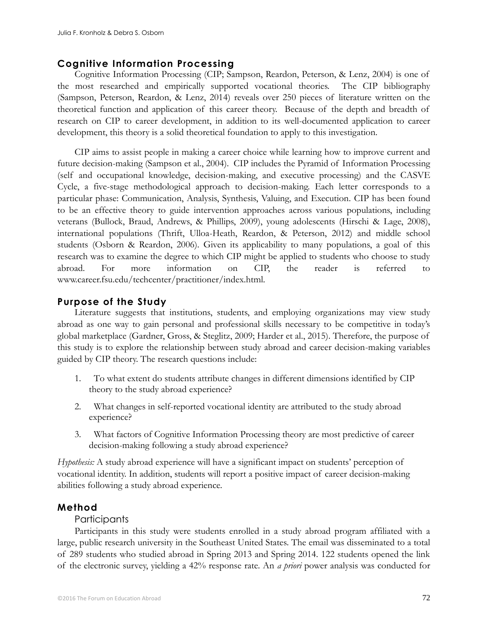# **Cognitive Information Processing**

Cognitive Information Processing (CIP; Sampson, Reardon, Peterson, & Lenz, 2004) is one of the most researched and empirically supported vocational theories. The CIP bibliography (Sampson, Peterson, Reardon, & Lenz, 2014) reveals over 250 pieces of literature written on the theoretical function and application of this career theory. Because of the depth and breadth of research on CIP to career development, in addition to its well-documented application to career development, this theory is a solid theoretical foundation to apply to this investigation.

CIP aims to assist people in making a career choice while learning how to improve current and future decision-making (Sampson et al., 2004). CIP includes the Pyramid of Information Processing (self and occupational knowledge, decision-making, and executive processing) and the CASVE Cycle, a five-stage methodological approach to decision-making. Each letter corresponds to a particular phase: Communication, Analysis, Synthesis, Valuing, and Execution. CIP has been found to be an effective theory to guide intervention approaches across various populations, including veterans (Bullock, Braud, Andrews, & Phillips, 2009), young adolescents (Hirschi & Lage, 2008), international populations (Thrift, Ulloa-Heath, Reardon, & Peterson, 2012) and middle school students (Osborn & Reardon, 2006). Given its applicability to many populations, a goal of this research was to examine the degree to which CIP might be applied to students who choose to study abroad. For more information on CIP, the reader is referred to www.career.fsu.edu/techcenter/practitioner/index.html.

# **Purpose of the Study**

Literature suggests that institutions, students, and employing organizations may view study abroad as one way to gain personal and professional skills necessary to be competitive in today's global marketplace (Gardner, Gross, & Steglitz, 2009; Harder et al., 2015). Therefore, the purpose of this study is to explore the relationship between study abroad and career decision-making variables guided by CIP theory. The research questions include:

- 1. To what extent do students attribute changes in different dimensions identified by CIP theory to the study abroad experience?
- 2. What changes in self-reported vocational identity are attributed to the study abroad experience?
- 3. What factors of Cognitive Information Processing theory are most predictive of career decision-making following a study abroad experience?

*Hypothesis:* A study abroad experience will have a significant impact on students' perception of vocational identity. In addition, students will report a positive impact of career decision-making abilities following a study abroad experience.

# **Method**

# Participants

Participants in this study were students enrolled in a study abroad program affiliated with a large, public research university in the Southeast United States. The email was disseminated to a total of 289 students who studied abroad in Spring 2013 and Spring 2014. 122 students opened the link of the electronic survey, yielding a 42% response rate. An *a priori* power analysis was conducted for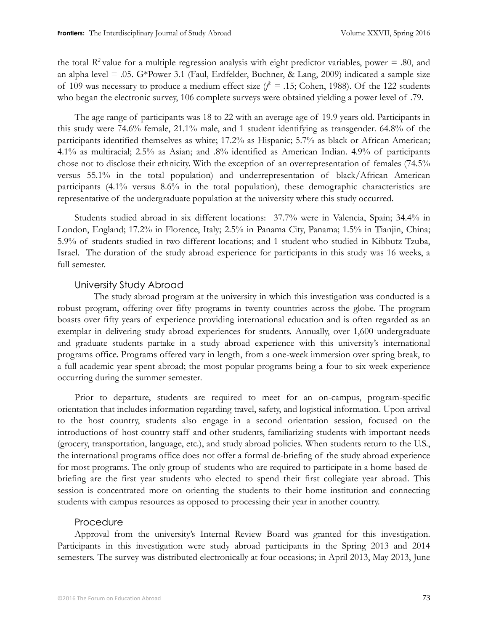the total  $R^2$  value for a multiple regression analysis with eight predictor variables, power = .80, and an alpha level = .05. G\*Power 3.1 (Faul, Erdfelder, Buchner, & Lang, 2009) indicated a sample size of 109 was necessary to produce a medium effect size  $(f = .15; \text{Cohen}, 1988)$ . Of the 122 students who began the electronic survey, 106 complete surveys were obtained yielding a power level of .79.

The age range of participants was 18 to 22 with an average age of 19.9 years old. Participants in this study were 74.6% female, 21.1% male, and 1 student identifying as transgender. 64.8% of the participants identified themselves as white; 17.2% as Hispanic; 5.7% as black or African American; 4.1% as multiracial; 2.5% as Asian; and .8% identified as American Indian. 4.9% of participants chose not to disclose their ethnicity. With the exception of an overrepresentation of females (74.5% versus 55.1% in the total population) and underrepresentation of black/African American participants (4.1% versus 8.6% in the total population), these demographic characteristics are representative of the undergraduate population at the university where this study occurred.

Students studied abroad in six different locations: 37.7% were in Valencia, Spain; 34.4% in London, England; 17.2% in Florence, Italy; 2.5% in Panama City, Panama; 1.5% in Tianjin, China; 5.9% of students studied in two different locations; and 1 student who studied in Kibbutz Tzuba, Israel. The duration of the study abroad experience for participants in this study was 16 weeks, a full semester.

# University Study Abroad

The study abroad program at the university in which this investigation was conducted is a robust program, offering over fifty programs in twenty countries across the globe. The program boasts over fifty years of experience providing international education and is often regarded as an exemplar in delivering study abroad experiences for students. Annually, over 1,600 undergraduate and graduate students partake in a study abroad experience with this university's international programs office. Programs offered vary in length, from a one-week immersion over spring break, to a full academic year spent abroad; the most popular programs being a four to six week experience occurring during the summer semester.

Prior to departure, students are required to meet for an on-campus, program-specific orientation that includes information regarding travel, safety, and logistical information. Upon arrival to the host country, students also engage in a second orientation session, focused on the introductions of host-country staff and other students, familiarizing students with important needs (grocery, transportation, language, etc.), and study abroad policies. When students return to the U.S., the international programs office does not offer a formal de-briefing of the study abroad experience for most programs. The only group of students who are required to participate in a home-based debriefing are the first year students who elected to spend their first collegiate year abroad. This session is concentrated more on orienting the students to their home institution and connecting students with campus resources as opposed to processing their year in another country.

# Procedure

Approval from the university's Internal Review Board was granted for this investigation. Participants in this investigation were study abroad participants in the Spring 2013 and 2014 semesters. The survey was distributed electronically at four occasions; in April 2013, May 2013, June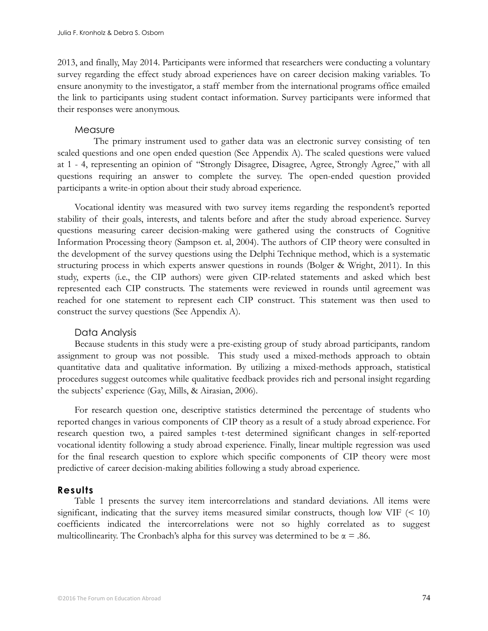2013, and finally, May 2014. Participants were informed that researchers were conducting a voluntary survey regarding the effect study abroad experiences have on career decision making variables. To ensure anonymity to the investigator, a staff member from the international programs office emailed the link to participants using student contact information. Survey participants were informed that their responses were anonymous.

### **Measure**

The primary instrument used to gather data was an electronic survey consisting of ten scaled questions and one open ended question (See Appendix A). The scaled questions were valued at 1 - 4, representing an opinion of "Strongly Disagree, Disagree, Agree, Strongly Agree," with all questions requiring an answer to complete the survey. The open-ended question provided participants a write-in option about their study abroad experience.

Vocational identity was measured with two survey items regarding the respondent's reported stability of their goals, interests, and talents before and after the study abroad experience. Survey questions measuring career decision-making were gathered using the constructs of Cognitive Information Processing theory (Sampson et. al, 2004). The authors of CIP theory were consulted in the development of the survey questions using the Delphi Technique method, which is a systematic structuring process in which experts answer questions in rounds (Bolger & Wright, 2011). In this study, experts (i.e., the CIP authors) were given CIP-related statements and asked which best represented each CIP constructs. The statements were reviewed in rounds until agreement was reached for one statement to represent each CIP construct. This statement was then used to construct the survey questions (See Appendix A).

# Data Analysis

Because students in this study were a pre-existing group of study abroad participants, random assignment to group was not possible. This study used a mixed-methods approach to obtain quantitative data and qualitative information. By utilizing a mixed-methods approach, statistical procedures suggest outcomes while qualitative feedback provides rich and personal insight regarding the subjects' experience (Gay, Mills, & Airasian, 2006).

For research question one, descriptive statistics determined the percentage of students who reported changes in various components of CIP theory as a result of a study abroad experience. For research question two, a paired samples t-test determined significant changes in self-reported vocational identity following a study abroad experience. Finally, linear multiple regression was used for the final research question to explore which specific components of CIP theory were most predictive of career decision-making abilities following a study abroad experience.

# **Results**

Table 1 presents the survey item intercorrelations and standard deviations. All items were significant, indicating that the survey items measured similar constructs, though low VIF  $\leq 10$ ) coefficients indicated the intercorrelations were not so highly correlated as to suggest multicollinearity. The Cronbach's alpha for this survey was determined to be  $\alpha = .86$ .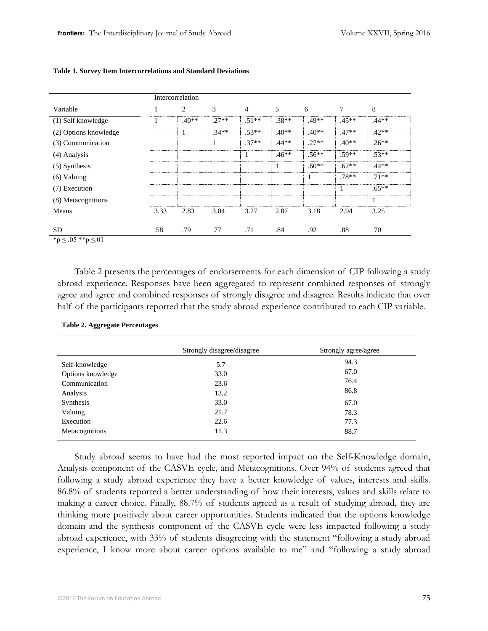|                       | Intercorrelation |         |         |         |         |         |         |         |
|-----------------------|------------------|---------|---------|---------|---------|---------|---------|---------|
| Variable              |                  | 2       | 3       | 4       | 5       | 6       | 7       | 8       |
| (1) Self knowledge    | $\mathbf{I}$     | $.40**$ | $.27**$ | $.51**$ | $.38**$ | $.49**$ | $.45**$ | $.44**$ |
| (2) Options knowledge |                  |         | $.34**$ | $.53**$ | $.40**$ | $.40**$ | $.47**$ | $.42**$ |
| (3) Communication     |                  |         |         | $.37**$ | $.44**$ | $.27**$ | $.40**$ | $.26**$ |
| (4) Analysis          |                  |         |         |         | $.46**$ | $.56**$ | $.59**$ | $.53**$ |
| (5) Synthesis         |                  |         |         |         |         | $.60**$ | $.62**$ | $.44**$ |
| $(6)$ Valuing         |                  |         |         |         |         |         | $.78**$ | $.71**$ |
| (7) Execution         |                  |         |         |         |         |         | 1       | $.65**$ |
| (8) Metacognitions    |                  |         |         |         |         |         |         |         |
| Means                 | 3.33             | 2.83    | 3.04    | 3.27    | 2.87    | 3.18    | 2.94    | 3.25    |
| SD                    | .58              | .79     | .77     | .71     | .84     | .92     | .88     | .70     |

#### **Table 1. Survey Item Intercorrelations and Standard Deviations**

\*p ≤ .05 \*\*p ≤.01

Table 2 presents the percentages of endorsements for each dimension of CIP following a study abroad experience. Responses have been aggregated to represent combined responses of strongly agree and agree and combined responses of strongly disagree and disagree. Results indicate that over half of the participants reported that the study abroad experience contributed to each CIP variable.

|                   | Strongly disagree/disagree | Strongly agree/agree |
|-------------------|----------------------------|----------------------|
| Self-knowledge    | 5.7                        | 94.3                 |
| Options knowledge | 33.0                       | 67.0                 |
| Communication     | 23.6                       | 76.4                 |
| Analysis          | 13.2                       | 86.8                 |
| Synthesis         | 33.0                       | 67.0                 |
| Valuing           | 21.7                       | 78.3                 |
| Execution         | 22.6                       | 77.3                 |
| Metacognitions    | 11.3                       | 88.7                 |

#### **Table 2. Aggregate Percentages**

Study abroad seems to have had the most reported impact on the Self-Knowledge domain, Analysis component of the CASVE cycle, and Metacognitions. Over 94% of students agreed that following a study abroad experience they have a better knowledge of values, interests and skills. 86.8% of students reported a better understanding of how their interests, values and skills relate to making a career choice. Finally, 88.7% of students agreed as a result of studying abroad, they are thinking more positively about career opportunities. Students indicated that the options knowledge domain and the synthesis component of the CASVE cycle were less impacted following a study abroad experience, with 33% of students disagreeing with the statement "following a study abroad experience, I know more about career options available to me" and "following a study abroad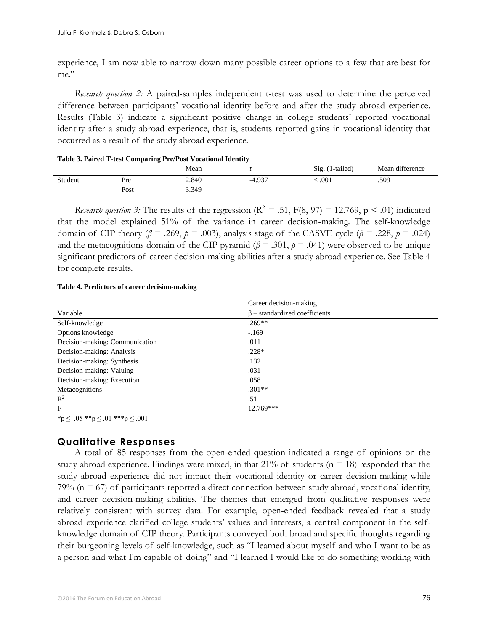experience, I am now able to narrow down many possible career options to a few that are best for me."

*Research question 2:* A paired-samples independent t-test was used to determine the perceived difference between participants' vocational identity before and after the study abroad experience. Results (Table 3) indicate a significant positive change in college students' reported vocational identity after a study abroad experience, that is, students reported gains in vocational identity that occurred as a result of the study abroad experience.

|         | ີ    |       |          |                 |                 |
|---------|------|-------|----------|-----------------|-----------------|
|         |      | Mean  |          | Sig. (1-tailed) | Mean difference |
| Student | Pre  | 2.840 | $-4.937$ | .001            | .509            |
|         | Post | 3.349 |          |                 |                 |

#### **Table 3. Paired T-test Comparing Pre/Post Vocational Identity**

*Research question 3:* The results of the regression ( $R^2 = .51$ ,  $F(8, 97) = 12.769$ ,  $p \le .01$ ) indicated that the model explained 51% of the variance in career decision-making. The self-knowledge domain of CIP theory ( $\beta$  = .269,  $\beta$  = .003), analysis stage of the CASVE cycle ( $\beta$  = .228,  $\beta$  = .024) and the metacognitions domain of the CIP pyramid ( $\beta$  = .301,  $p$  = .041) were observed to be unique significant predictors of career decision-making abilities after a study abroad experience. See Table 4 for complete results.

#### **Table 4. Predictors of career decision-making**

| Career decision-making              |
|-------------------------------------|
| $\beta$ – standardized coefficients |
| $.269**$                            |
| $-.169$                             |
| .011                                |
| $.228*$                             |
| .132                                |
| .031                                |
| .058                                |
| $.301**$                            |
| .51                                 |
| $12.769***$                         |
|                                     |

 $***p** ≤ .05 ****p** ≤ .01 *****p** ≤ .001$ 

# **Qualitative Responses**

A total of 85 responses from the open-ended question indicated a range of opinions on the study abroad experience. Findings were mixed, in that  $21\%$  of students (n = 18) responded that the study abroad experience did not impact their vocational identity or career decision-making while 79% (n = 67) of participants reported a direct connection between study abroad, vocational identity, and career decision-making abilities. The themes that emerged from qualitative responses were relatively consistent with survey data. For example, open-ended feedback revealed that a study abroad experience clarified college students' values and interests, a central component in the selfknowledge domain of CIP theory. Participants conveyed both broad and specific thoughts regarding their burgeoning levels of self-knowledge, such as "I learned about myself and who I want to be as a person and what I'm capable of doing" and "I learned I would like to do something working with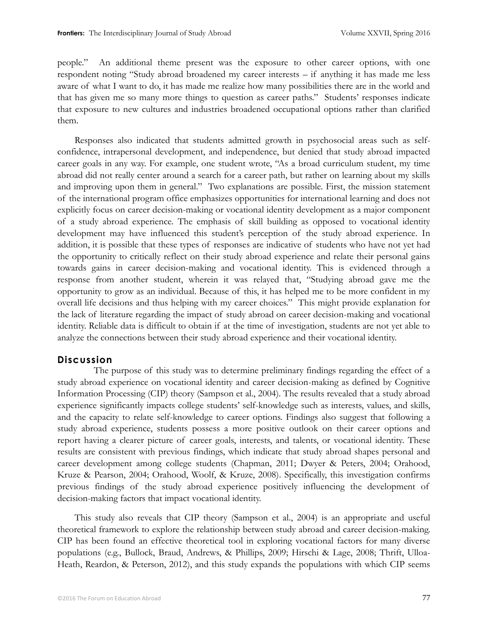people." An additional theme present was the exposure to other career options, with one respondent noting "Study abroad broadened my career interests – if anything it has made me less aware of what I want to do, it has made me realize how many possibilities there are in the world and that has given me so many more things to question as career paths." Students' responses indicate that exposure to new cultures and industries broadened occupational options rather than clarified them.

Responses also indicated that students admitted growth in psychosocial areas such as selfconfidence, intrapersonal development, and independence, but denied that study abroad impacted career goals in any way. For example, one student wrote, "As a broad curriculum student, my time abroad did not really center around a search for a career path, but rather on learning about my skills and improving upon them in general." Two explanations are possible. First, the mission statement of the international program office emphasizes opportunities for international learning and does not explicitly focus on career decision-making or vocational identity development as a major component of a study abroad experience. The emphasis of skill building as opposed to vocational identity development may have influenced this student's perception of the study abroad experience. In addition, it is possible that these types of responses are indicative of students who have not yet had the opportunity to critically reflect on their study abroad experience and relate their personal gains towards gains in career decision-making and vocational identity. This is evidenced through a response from another student, wherein it was relayed that, "Studying abroad gave me the opportunity to grow as an individual. Because of this, it has helped me to be more confident in my overall life decisions and thus helping with my career choices." This might provide explanation for the lack of literature regarding the impact of study abroad on career decision-making and vocational identity. Reliable data is difficult to obtain if at the time of investigation, students are not yet able to analyze the connections between their study abroad experience and their vocational identity.

# **Discussion**

The purpose of this study was to determine preliminary findings regarding the effect of a study abroad experience on vocational identity and career decision-making as defined by Cognitive Information Processing (CIP) theory (Sampson et al., 2004). The results revealed that a study abroad experience significantly impacts college students' self-knowledge such as interests, values, and skills, and the capacity to relate self-knowledge to career options. Findings also suggest that following a study abroad experience, students possess a more positive outlook on their career options and report having a clearer picture of career goals, interests, and talents, or vocational identity. These results are consistent with previous findings, which indicate that study abroad shapes personal and career development among college students (Chapman, 2011; Dwyer & Peters, 2004; Orahood, Kruze & Pearson, 2004; Orahood, Woolf, & Kruze, 2008). Specifically, this investigation confirms previous findings of the study abroad experience positively influencing the development of decision-making factors that impact vocational identity.

This study also reveals that CIP theory (Sampson et al., 2004) is an appropriate and useful theoretical framework to explore the relationship between study abroad and career decision-making. CIP has been found an effective theoretical tool in exploring vocational factors for many diverse populations (e.g., Bullock, Braud, Andrews, & Phillips, 2009; Hirschi & Lage, 2008; Thrift, Ulloa-Heath, Reardon, & Peterson, 2012), and this study expands the populations with which CIP seems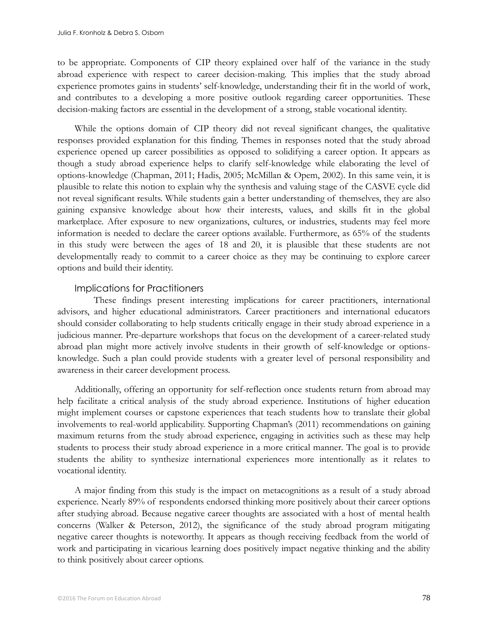to be appropriate. Components of CIP theory explained over half of the variance in the study abroad experience with respect to career decision-making. This implies that the study abroad experience promotes gains in students' self-knowledge, understanding their fit in the world of work, and contributes to a developing a more positive outlook regarding career opportunities. These decision-making factors are essential in the development of a strong, stable vocational identity.

While the options domain of CIP theory did not reveal significant changes, the qualitative responses provided explanation for this finding. Themes in responses noted that the study abroad experience opened up career possibilities as opposed to solidifying a career option. It appears as though a study abroad experience helps to clarify self-knowledge while elaborating the level of options-knowledge (Chapman, 2011; Hadis, 2005; McMillan & Opem, 2002). In this same vein, it is plausible to relate this notion to explain why the synthesis and valuing stage of the CASVE cycle did not reveal significant results. While students gain a better understanding of themselves, they are also gaining expansive knowledge about how their interests, values, and skills fit in the global marketplace. After exposure to new organizations, cultures, or industries, students may feel more information is needed to declare the career options available. Furthermore, as 65% of the students in this study were between the ages of 18 and 20, it is plausible that these students are not developmentally ready to commit to a career choice as they may be continuing to explore career options and build their identity.

# Implications for Practitioners

These findings present interesting implications for career practitioners, international advisors, and higher educational administrators. Career practitioners and international educators should consider collaborating to help students critically engage in their study abroad experience in a judicious manner. Pre-departure workshops that focus on the development of a career-related study abroad plan might more actively involve students in their growth of self-knowledge or optionsknowledge. Such a plan could provide students with a greater level of personal responsibility and awareness in their career development process.

Additionally, offering an opportunity for self-reflection once students return from abroad may help facilitate a critical analysis of the study abroad experience. Institutions of higher education might implement courses or capstone experiences that teach students how to translate their global involvements to real-world applicability. Supporting Chapman's (2011) recommendations on gaining maximum returns from the study abroad experience, engaging in activities such as these may help students to process their study abroad experience in a more critical manner. The goal is to provide students the ability to synthesize international experiences more intentionally as it relates to vocational identity.

A major finding from this study is the impact on metacognitions as a result of a study abroad experience. Nearly 89% of respondents endorsed thinking more positively about their career options after studying abroad. Because negative career thoughts are associated with a host of mental health concerns (Walker & Peterson, 2012), the significance of the study abroad program mitigating negative career thoughts is noteworthy. It appears as though receiving feedback from the world of work and participating in vicarious learning does positively impact negative thinking and the ability to think positively about career options.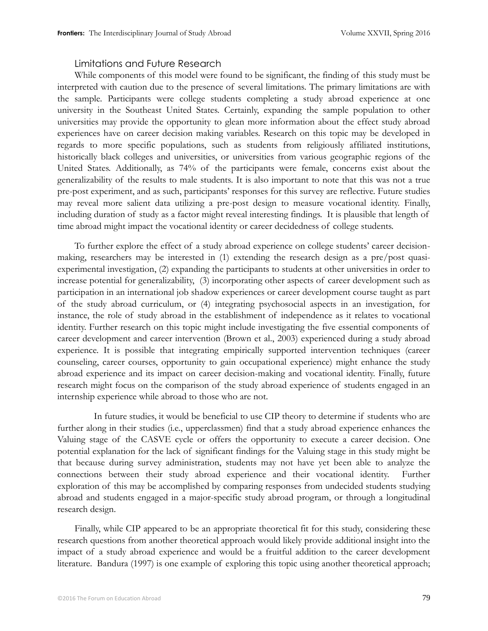# Limitations and Future Research

While components of this model were found to be significant, the finding of this study must be interpreted with caution due to the presence of several limitations. The primary limitations are with the sample. Participants were college students completing a study abroad experience at one university in the Southeast United States. Certainly, expanding the sample population to other universities may provide the opportunity to glean more information about the effect study abroad experiences have on career decision making variables. Research on this topic may be developed in regards to more specific populations, such as students from religiously affiliated institutions, historically black colleges and universities, or universities from various geographic regions of the United States. Additionally, as 74% of the participants were female, concerns exist about the generalizability of the results to male students. It is also important to note that this was not a true pre-post experiment, and as such, participants' responses for this survey are reflective. Future studies may reveal more salient data utilizing a pre-post design to measure vocational identity. Finally, including duration of study as a factor might reveal interesting findings. It is plausible that length of time abroad might impact the vocational identity or career decidedness of college students.

To further explore the effect of a study abroad experience on college students' career decisionmaking, researchers may be interested in (1) extending the research design as a pre/post quasiexperimental investigation, (2) expanding the participants to students at other universities in order to increase potential for generalizability, (3) incorporating other aspects of career development such as participation in an international job shadow experiences or career development course taught as part of the study abroad curriculum, or (4) integrating psychosocial aspects in an investigation, for instance, the role of study abroad in the establishment of independence as it relates to vocational identity. Further research on this topic might include investigating the five essential components of career development and career intervention (Brown et al., 2003) experienced during a study abroad experience. It is possible that integrating empirically supported intervention techniques (career counseling, career courses, opportunity to gain occupational experience) might enhance the study abroad experience and its impact on career decision-making and vocational identity. Finally, future research might focus on the comparison of the study abroad experience of students engaged in an internship experience while abroad to those who are not.

In future studies, it would be beneficial to use CIP theory to determine if students who are further along in their studies (i.e., upperclassmen) find that a study abroad experience enhances the Valuing stage of the CASVE cycle or offers the opportunity to execute a career decision. One potential explanation for the lack of significant findings for the Valuing stage in this study might be that because during survey administration, students may not have yet been able to analyze the connections between their study abroad experience and their vocational identity. Further exploration of this may be accomplished by comparing responses from undecided students studying abroad and students engaged in a major-specific study abroad program, or through a longitudinal research design.

Finally, while CIP appeared to be an appropriate theoretical fit for this study, considering these research questions from another theoretical approach would likely provide additional insight into the impact of a study abroad experience and would be a fruitful addition to the career development literature. Bandura (1997) is one example of exploring this topic using another theoretical approach;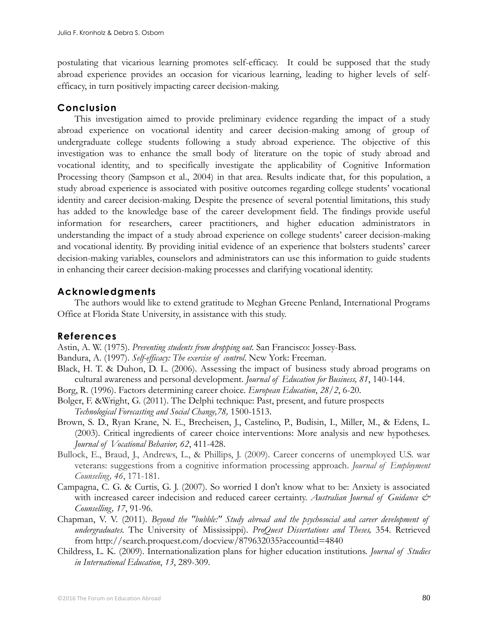postulating that vicarious learning promotes self-efficacy. It could be supposed that the study abroad experience provides an occasion for vicarious learning, leading to higher levels of selfefficacy, in turn positively impacting career decision-making.

# **Conclusion**

This investigation aimed to provide preliminary evidence regarding the impact of a study abroad experience on vocational identity and career decision-making among of group of undergraduate college students following a study abroad experience. The objective of this investigation was to enhance the small body of literature on the topic of study abroad and vocational identity, and to specifically investigate the applicability of Cognitive Information Processing theory (Sampson et al., 2004) in that area. Results indicate that, for this population, a study abroad experience is associated with positive outcomes regarding college students' vocational identity and career decision-making. Despite the presence of several potential limitations, this study has added to the knowledge base of the career development field. The findings provide useful information for researchers, career practitioners, and higher education administrators in understanding the impact of a study abroad experience on college students' career decision-making and vocational identity. By providing initial evidence of an experience that bolsters students' career decision-making variables, counselors and administrators can use this information to guide students in enhancing their career decision-making processes and clarifying vocational identity.

# **Acknowledgments**

The authors would like to extend gratitude to Meghan Greene Penland, International Programs Office at Florida State University, in assistance with this study.

# **References**

Astin, A. W. (1975). *Preventing students from dropping out.* San Francisco: Jossey-Bass.

Bandura, A. (1997). *Self-efficacy: The exercise of control*. New York: Freeman.

- Black, H. T. & Duhon, D. L. (2006). Assessing the impact of business study abroad programs on cultural awareness and personal development. *Journal of Education for Business, 81*, 140-144.
- Borg, R. (1996). Factors determining career choice. *European Education*, *28/2*, 6-20.
- Bolger, F. &Wright, G. (2011). The Delphi technique: Past, present, and future prospects *Technological Forecasting and Social Change,78,* 1500-1513.
- Brown, S. D., Ryan Krane, N. E., Brecheisen, J., Castelino, P., Budisin, I., Miller, M., & Edens, L. (2003). Critical ingredients of career choice interventions: More analysis and new hypotheses. *Journal of Vocational Behavior, 62*, 411-428.
- Bullock, E., Braud, J., Andrews, L., & Phillips, J. (2009). Career concerns of unemployed U.S. war veterans: suggestions from a cognitive information processing approach. *Journal of Employment Counseling, 46*, 171-181.
- Campagna, C. G. & Curtis, G. J. (2007). So worried I don't know what to be: Anxiety is associated with increased career indecision and reduced career certainty. *Australian Journal of Guidance & Counselling, 17*, 91-96.
- Chapman, V. V. (2011). *Beyond the "bubble:" Study abroad and the psychosocial and career development of undergraduates.* The University of Mississippi). *ProQuest Dissertations and Theses,* 354. Retrieved from http://search.proquest.com/docview/879632035?accountid=4840
- Childress, L. K. (2009). Internationalization plans for higher education institutions. *Journal of Studies in International Education*, *13*, 289-309.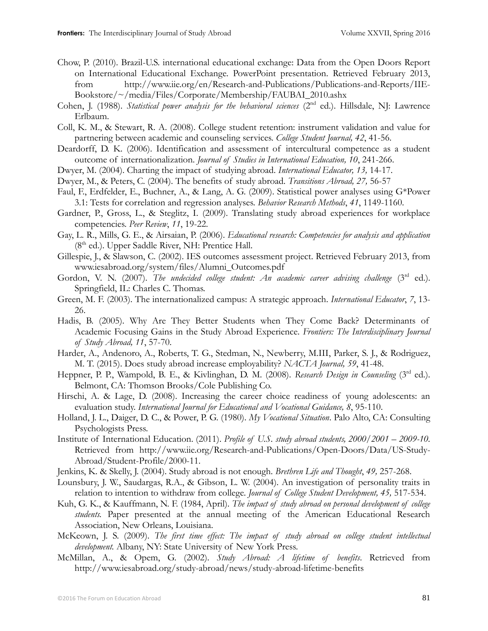- Chow, P. (2010). Brazil-U.S. international educational exchange: Data from the Open Doors Report on International Educational Exchange. PowerPoint presentation. Retrieved February 2013, from http://www.iie.org/en/Research-and-Publications/Publications-and-Reports/IIE-Bookstore/~/media/Files/Corporate/Membership/FAUBAI\_2010.ashx
- Cohen, J. (1988). *Statistical power analysis for the behavioral sciences* (2<sup>nd</sup> ed.). Hillsdale, NJ: Lawrence Erlbaum.
- Coll, K. M., & Stewart, R. A. (2008). College student retention: instrument validation and value for partnering between academic and counseling services. *College Student Journal, 42*, 41-56.
- Deardorff, D. K. (2006). Identification and assessment of intercultural competence as a student outcome of internationalization. *Journal of Studies in International Education, 10*, 241-266.
- Dwyer, M. (2004). Charting the impact of studying abroad. *International Educator, 13,* 14-17.
- Dwyer, M., & Peters, C. (2004). The benefits of study abroad. *Transitions Abroad, 27,* 56-57
- Faul, F., Erdfelder, E., Buchner, A., & Lang, A. G. (2009). Statistical power analyses using G\*Power 3.1: Tests for correlation and regression analyses. *Behavior Research Methods*, *41*, 1149-1160.
- Gardner, P., Gross, L., & Steglitz, I. (2009). Translating study abroad experiences for workplace competencies. *Peer Review*, *11*, 19-22.
- Gay, L. R., Mills, G. E., & Airsaian, P. (2006). *Educational research: Competencies for analysis and application*  (8<sup>th</sup> ed.). Upper Saddle River, NH: Prentice Hall.
- Gillespie, J., & Slawson, C. (2002). IES outcomes assessment project. Retrieved February 2013, from www.iesabroad.org/system/files/Alumni\_Outcomes.pdf
- Gordon, V. N. (2007). *The undecided college student: An academic career advising challenge* (3<sup>rd</sup> ed.). Springfield, IL: Charles C. Thomas.
- Green, M. F. (2003). The internationalized campus: A strategic approach. *International Educator*, *7*, 13- 26.
- Hadis, B. (2005). Why Are They Better Students when They Come Back? Determinants of Academic Focusing Gains in the Study Abroad Experience. *Frontiers: The Interdisciplinary Journal of Study Abroad, 11*, 57-70.
- Harder, A., Andenoro, A., Roberts, T. G., Stedman, N., Newberry, M.III, Parker, S. J., & Rodriguez, M. T. (2015). Does study abroad increase employability? *NACTA Journal, 59*, 41-48.
- Heppner, P. P., Wampold, B. E., & Kivlinghan, D. M. (2008). *Research Design in Counseling* (3<sup>rd</sup> ed.). Belmont, CA: Thomson Brooks/Cole Publishing Co.
- Hirschi, A. & Lage, D. (2008). Increasing the career choice readiness of young adolescents: an evaluation study. *International Journal for Educational and Vocational Guidance, 8*, 95-110.
- Holland, J. L., Daiger, D. C., & Power, P. G. (1980). *My Vocational Situation*. Palo Alto, CA: Consulting Psychologists Press.
- Institute of International Education. (2011). *Profile of U.S. study abroad students, 2000/2001 2009-10.* Retrieved from http://www.iie.org/Research-and-Publications/Open-Doors/Data/US-Study-Abroad/Student-Profile/2000-11.
- [Jenkins, K.](http://www.tandfonline.com.proxy.lib.fsu.edu/action/doSearch?action=runSearch&type=advanced&searchType=journal&result=true&prevSearch=%2Bauthorsfield%3A(Jenkins%2C+K.)) & [Skelly, J.](http://www.tandfonline.com.proxy.lib.fsu.edu/action/doSearch?action=runSearch&type=advanced&searchType=journal&result=true&prevSearch=%2Bauthorsfield%3A(Skelly%2C+J.)) (2004). Study abroad is not enough. *Brethren Life and Thought*, *49,* 257-268.
- Lounsbury, J. W., Saudargas, R.A., & Gibson, L. W. (2004). An investigation of personality traits in relation to intention to withdraw from college. *Journal of College Student Development, 45,* 517-534.
- Kuh, G. K., & Kauffmann, N. F. (1984, April). *The impact of study abroad on personal development of college students.* Paper presented at the annual meeting of the American Educational Research Association, New Orleans, Louisiana.
- McKeown, J. S. (2009). *The first time effect: The impact of study abroad on college student intellectual development.* Albany, NY: State University of New York Press.
- McMillan, A., & Opem, G. (2002). *Study Abroad: A lifetime of benefits*. Retrieved from http://www.iesabroad.org/study-abroad/news/study-abroad-lifetime-benefits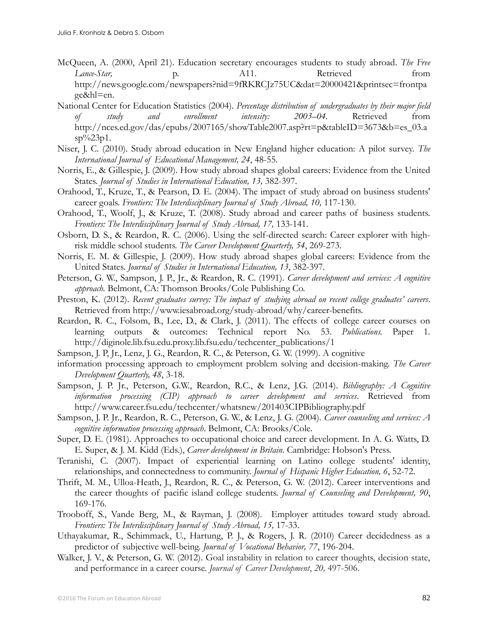- McQueen, A. (2000, April 21). Education secretary encourages students to study abroad. *The Free Lance-Star,* p. **A11.** Retrieved from http://news.google.com/newspapers?nid=9fRKRCJz75UC&dat=20000421&printsec=frontpa ge&hl=en.
- National Center for Education Statistics (2004). *Percentage distribution of undergraduates by their major field of study and enrollment intensity: 2003–04.* Retrieved from http://nces.ed.gov/das/epubs/2007165/showTable2007.asp?rt=p&tableID=3673&b=es\_03.a  $sp\%23p1$ .
- Niser, J. C. (2010). Study abroad education in New England higher education: A pilot survey. *The International Journal of Educational Management, 24*, 48-55.
- Norris, E., & Gillespie, J. (2009). How study abroad shapes global careers: Evidence from the United States. *Journal of Studies in International Education, 13,* 382-397.
- Orahood, T., Kruze, T., & Pearson, D. E. (2004). The impact of study abroad on business students' career goals. Frontiers: The Interdisciplinary Journal of Study Abroad, 10, 117-130.
- Orahood, T., Woolf, J., & Kruze, T. (2008). Study abroad and career paths of business students. *Frontiers: The Interdisciplinary Journal of Study Abroad, 17,* 133-141.
- Osborn, D. S., & Reardon, R. C. (2006). Using the self-directed search: Career explorer with highrisk middle school students. *The Career Development Quarterly, 54*, 269-273.
- Norris, E. M. & Gillespie, J. (2009). How study abroad shapes global careers: Evidence from the United States. *Journal of Studies in International Education, 13*, 382-397.
- Peterson, G. W., Sampson, J. P., Jr., & Reardon, R. C. (1991). *Career development and services: A cognitive approach.* Belmont, CA: Thomson Brooks/Cole Publishing Co.
- Preston, K. (2012). *Recent graduates survey: The impact of studying abroad on recent college graduates' careers*. Retrieved from http://www.iesabroad.org/study-abroad/why/career-benefits.
- Reardon, R. C., Folsom, B., Lee, D., & Clark, J. (2011). The effects of college career courses on learning outputs & outcomes: Technical report No. 53. *Publications.* Paper 1. http://diginole.lib.fsu.edu.proxy.lib.fsu.edu/techcenter\_publications/1
- Sampson, J. P, Jr., Lenz, J. G., Reardon, R. C., & Peterson, G. W. (1999). A cognitive
- information processing approach to employment problem solving and decision-making. *The Career Development Quarterly, 48*, 3-18.
- Sampson, J. P. Jr., Peterson, G.W., Reardon, R.C., & Lenz, J.G. (2014). *Bibliography: A Cognitive information processing (CIP) approach to career development and services*. Retrieved from http://www.career.fsu.edu/techcenter/whatsnew/201403CIPBibliography.pdf
- Sampson, J. P. Jr., Reardon, R. C., Peterson, G. W., & Lenz, J. G. (2004). *Career counseling and services: A cognitive information processing approach*. Belmont, CA: Brooks/Cole.
- Super, D. E. (1981). Approaches to occupational choice and career development. In A. G. Watts, D. E. Super, & J. M. Kidd (Eds.), *Career development in Britain.* Cambridge: Hobson's Press.
- Teranishi, C. (2007). Impact of experiential learning on Latino college students' identity, relationships, and connectedness to community. *Journal of Hispanic Higher Education, 6*, 52-72.
- Thrift, M. M., Ulloa-Heath, J., Reardon, R. C., & Peterson, G. W. (2012). Career interventions and the career thoughts of pacific island college students. *Journal of Counseling and Development, 90*, 169-176.
- Trooboff, S., Vande Berg, M., & Rayman, J. (2008). Employer attitudes toward study abroad. Frontiers: The Interdisciplinary Journal of Study Abroad, 15, 17-33.
- Uthayakumar, R., Schimmack, U., Hartung, P. J., & Rogers, J. R. (2010) Career decidedness as a predictor of subjective well-being. *Journal of Vocational Behavior, 77*, 196-204.
- Walker, J. V., & Peterson, G. W. (2012). Goal instability in relation to career thoughts, decision state, and performance in a career course. *Journal of Career Development*, *20,* 497-506.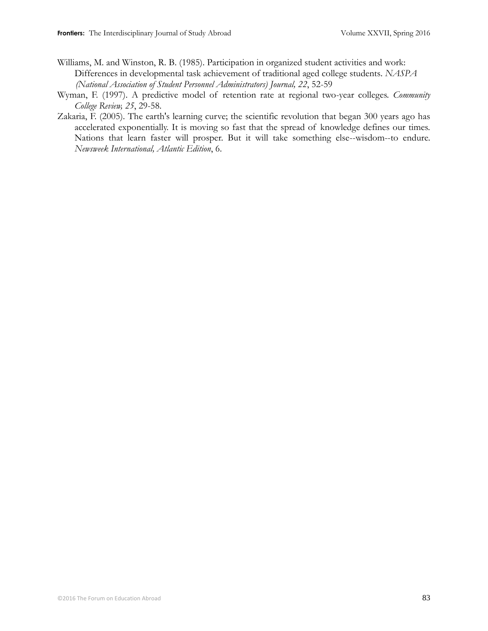- Williams, M. and Winston, R. B. (1985). Participation in organized student activities and work: Differences in developmental task achievement of traditional aged college students. *NASPA (National Association of Student Personnel Administrators) Journal, 22*, 52-59
- Wyman, F. (1997). A predictive model of retention rate at regional two-year colleges. *Community College Review, 25*, 29-58.
- Zakaria, F. (2005). The earth's learning curve; the scientific revolution that began 300 years ago has accelerated exponentially. It is moving so fast that the spread of knowledge defines our times. Nations that learn faster will prosper. But it will take something else--wisdom--to endure. *Newsweek International, Atlantic Edition*, 6.